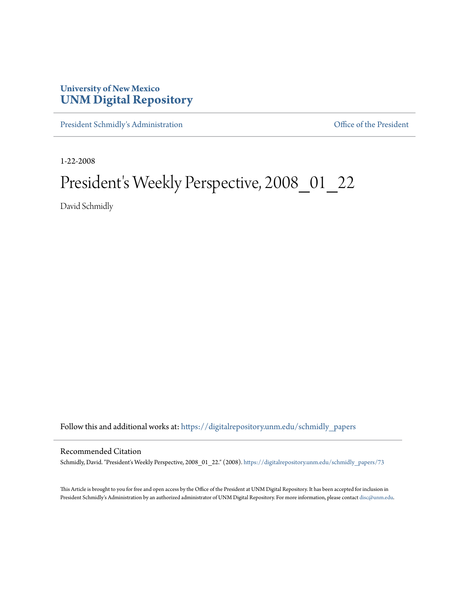## **University of New Mexico [UNM Digital Repository](https://digitalrepository.unm.edu?utm_source=digitalrepository.unm.edu%2Fschmidly_papers%2F73&utm_medium=PDF&utm_campaign=PDFCoverPages)**

[President Schmidly's Administration](https://digitalrepository.unm.edu/schmidly_papers?utm_source=digitalrepository.unm.edu%2Fschmidly_papers%2F73&utm_medium=PDF&utm_campaign=PDFCoverPages) [Office of the President](https://digitalrepository.unm.edu/ofc_president?utm_source=digitalrepository.unm.edu%2Fschmidly_papers%2F73&utm_medium=PDF&utm_campaign=PDFCoverPages)

1-22-2008

## President's Weekly Perspective, 2008\_01\_22

David Schmidly

Follow this and additional works at: [https://digitalrepository.unm.edu/schmidly\\_papers](https://digitalrepository.unm.edu/schmidly_papers?utm_source=digitalrepository.unm.edu%2Fschmidly_papers%2F73&utm_medium=PDF&utm_campaign=PDFCoverPages)

## Recommended Citation

Schmidly, David. "President's Weekly Perspective, 2008\_01\_22." (2008). [https://digitalrepository.unm.edu/schmidly\\_papers/73](https://digitalrepository.unm.edu/schmidly_papers/73?utm_source=digitalrepository.unm.edu%2Fschmidly_papers%2F73&utm_medium=PDF&utm_campaign=PDFCoverPages)

This Article is brought to you for free and open access by the Office of the President at UNM Digital Repository. It has been accepted for inclusion in President Schmidly's Administration by an authorized administrator of UNM Digital Repository. For more information, please contact [disc@unm.edu](mailto:disc@unm.edu).